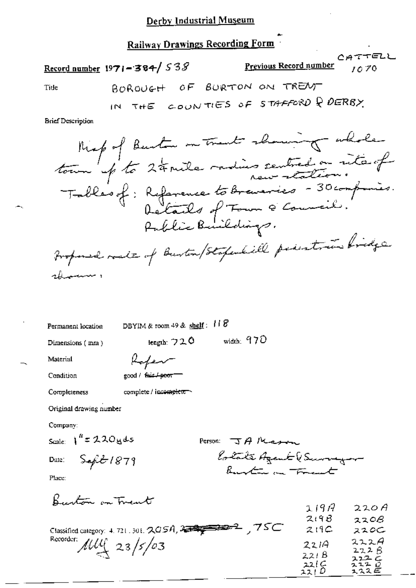### Railway Drawings Recording Form

 $CAT$ TELL Previous Record number Record number 1971-384/538  $0.70$ BOROUGH OF BURTON ON TRENT Tide

**Brief Description** 

Permanent location

DBYIM & room 49 & shelf:  $118$ 

Dimensions (mm)

tength: 720 width: 970

Material

Refer good / fair / poor

Condition Completeness

complete / incomplete

Original drawing number

Company:

Scale:  $1^{h}$  = 220 yds

Date:

Person: JANesson lotate Agent (Surveyor

 $\sqrt{2}$ 

 $\mathbf{A}$   $\mathbf{A}$ 

Place:

Burton on Trent

 $\frac{1}{2} \frac{1}{2} \frac{1}{2} \frac{1}{2} \frac{1}{2} \frac{1}{2} \frac{1}{2} \frac{1}{2} \frac{1}{2} \frac{1}{2} \frac{1}{2} \frac{1}{2} \frac{1}{2} \frac{1}{2} \frac{1}{2} \frac{1}{2} \frac{1}{2} \frac{1}{2} \frac{1}{2} \frac{1}{2} \frac{1}{2} \frac{1}{2} \frac{1}{2} \frac{1}{2} \frac{1}{2} \frac{1}{2} \frac{1}{2} \frac{1}{2} \frac{1}{2} \frac{1}{2} \frac{1}{2} \frac{$ 

|                                                                | $2.1$ J $17$   | <i><b>ZZON</b></i> |
|----------------------------------------------------------------|----------------|--------------------|
|                                                                | 2198           | 220B               |
| .75C<br>Classified category: 4, 721, 301, $2GSA$ , $3.7999992$ | 219C           | ススロー               |
| Recorder: $\mu\mu$ 23/5/03                                     | 2214           | 222A<br>222B       |
|                                                                | 221 B          | 222C               |
|                                                                | 221C<br>22 I U | ユユユ ロ<br>スススピ      |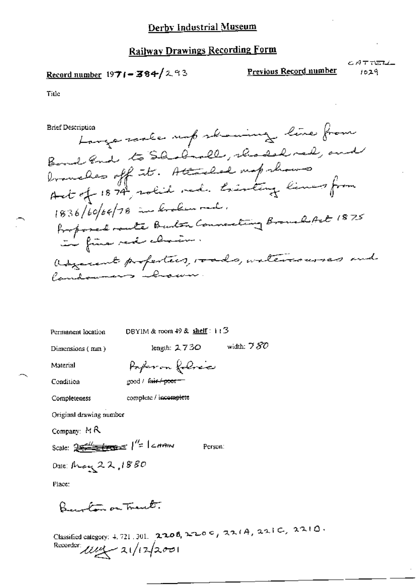#### **Railway Drawings Recording Form**

## Record number  $1971 - 384 / 293$

Previous Record number

CATTELL  $1029$ 

Title

**Brief Description** 

Large scale unp showing line from Bond and to Shakenell, thousand, and branches off it. Attached map shows Act of 1874, solid red. tristing lines from 1836/60/64/78 in broken rad. Professed rante Burton Connecting Broughfut 1875 adjacent profestives, roads, watercourses and Candomens however.

Permanent location

DBYIM & room  $49$  & shelf:  $113$ 

Dimensions (mm)

length:  $2730$  width:  $780$ 

Material Condition

Poperon folice good / fair / poor =

Completeness complete / incomplete

Original drawing number

Company:  $MR$ 

Scale:  $25 = 1$   $\frac{1}{2}$  carein

Person:

Date: May 22,1880

Place:

Benoton on Trank.

Classified category: 4.721.301. 2208, 2200, 2200, 22(A, 22)C, 22(O. Recorder  $\mu$  $\sim$  21/12/2001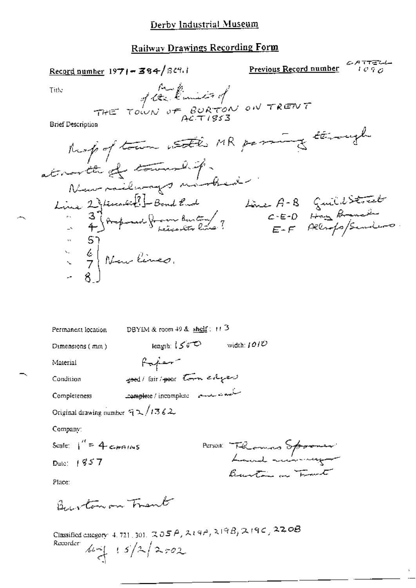### Derby Industrial Museum

# Railway Drawings Recording Form

| $\frac{\text{Record number}}{1971 - 384}$                                                                                                                                  | Previous Record number                       | ムタイモーム<br>1 C 7 C |
|----------------------------------------------------------------------------------------------------------------------------------------------------------------------------|----------------------------------------------|-------------------|
| Multimies of<br>THE TOWN OF BURTON ON TRENT<br>Title                                                                                                                       |                                              |                   |
|                                                                                                                                                                            |                                              |                   |
| Brief Description                                                                                                                                                          |                                              |                   |
| Roof of town with MR parange through                                                                                                                                       |                                              |                   |
| at north of township.                                                                                                                                                      |                                              |                   |
|                                                                                                                                                                            |                                              |                   |
| Nous milenage nombres.<br>Line 2) temetici - Bond Eur 4<br>- 4) Amprove from Buter ?<br>- 5)                                                                               | Line A-B Guild Street<br>$C-E-D$ that framed |                   |
|                                                                                                                                                                            | E-F Allropo/Sanders                          |                   |
|                                                                                                                                                                            |                                              |                   |
| $\begin{array}{cc} \begin{array}{c} \begin{array}{c} \mathbf{c} \\ \mathbf{c} \end{array} \\ \begin{array}{c} \mathbf{c} \\ \mathbf{c} \end{array} \end{array}$ Nouslimes. |                                              |                   |
|                                                                                                                                                                            |                                              |                   |
|                                                                                                                                                                            |                                              |                   |
|                                                                                                                                                                            |                                              |                   |
| DBYEM & room $49$ & $\frac{\text{shell}}{3}$ : $11$ <sup>3</sup><br>Permanent location                                                                                     |                                              |                   |
| leagth: $150^\circ$<br>Dimensions (mm)                                                                                                                                     | width: $101U$                                |                   |
| Haper-<br>Material                                                                                                                                                         |                                              |                   |
| good/ lais/ poor town edges<br>Condition                                                                                                                                   |                                              |                   |
| سنگهندي سيست - Le <del>anple</del> te / incomplete<br>Completeness                                                                                                         |                                              |                   |
| Original drawing number $\sqrt{72/1362}$                                                                                                                                   |                                              |                   |
| Company:                                                                                                                                                                   |                                              |                   |
| Scale: $1'' = 4$ communs                                                                                                                                                   | PETSON The London Spooner                    |                   |
| Date: $+857$                                                                                                                                                               | Burton a Frant                               |                   |
| Place:                                                                                                                                                                     |                                              |                   |
| Burton on Trent                                                                                                                                                            |                                              |                   |
| Classified category: 4, 721, 301, $\mathbb{Q}$ OS $A$ , $\lambda$ 19 $A$ , $\lambda$ 19 $B$ , $\lambda$ 19 $C$ , $22$ OB<br>Recorder:                                      |                                              |                   |
| $\frac{1}{4}$ 15/2/202                                                                                                                                                     |                                              |                   |